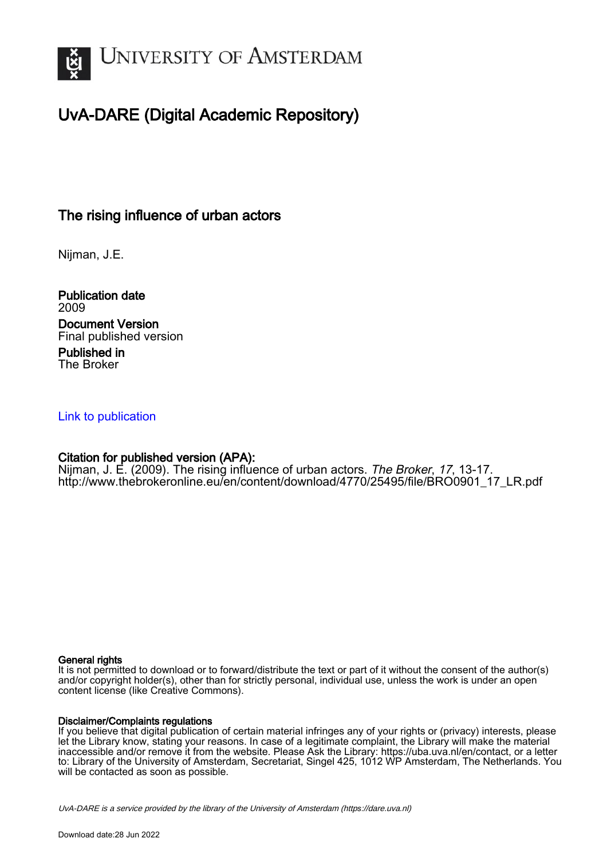

# UvA-DARE (Digital Academic Repository)

# The rising influence of urban actors

Nijman, J.E.

Publication date 2009 Document Version Final published version Published in

The Broker

## [Link to publication](https://dare.uva.nl/personal/pure/en/publications/the-rising-influence-of-urban-actors(bf3a73b3-a95a-4e7b-916b-a8dd7cb54686).html)

## Citation for published version (APA):

Nijman, J. E. (2009). The rising influence of urban actors. The Broker, 17, 13-17. [http://www.thebrokeronline.eu/en/content/download/4770/25495/file/BRO0901\\_17\\_LR.pdf](http://www.thebrokeronline.eu/en/content/download/4770/25495/file/BRO0901_17_LR.pdf)

## General rights

It is not permitted to download or to forward/distribute the text or part of it without the consent of the author(s) and/or copyright holder(s), other than for strictly personal, individual use, unless the work is under an open content license (like Creative Commons).

## Disclaimer/Complaints regulations

If you believe that digital publication of certain material infringes any of your rights or (privacy) interests, please let the Library know, stating your reasons. In case of a legitimate complaint, the Library will make the material inaccessible and/or remove it from the website. Please Ask the Library: https://uba.uva.nl/en/contact, or a letter to: Library of the University of Amsterdam, Secretariat, Singel 425, 1012 WP Amsterdam, The Netherlands. You will be contacted as soon as possible.

UvA-DARE is a service provided by the library of the University of Amsterdam (http*s*://dare.uva.nl)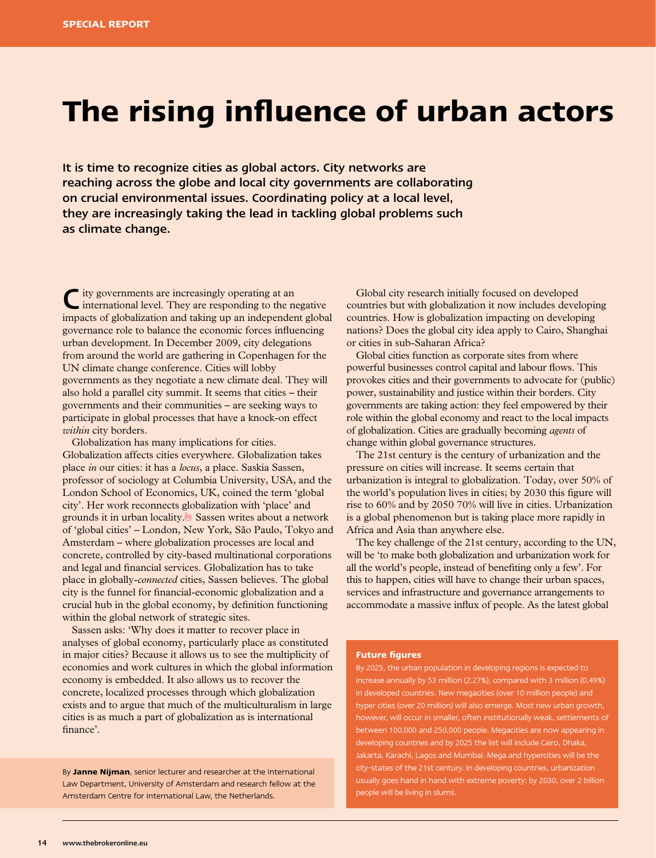# **The rising influence of urban actors**

It is time to recognize cities as global actors. City networks are reaching across the globe and local city governments are collaborating on crucial environmental issues. Coordinating policy at a local level, they are increasingly taking the lead in tackling global problems such as climate change.

City governments are increasingly operating at an international level. They are responding to the negative impacts of globalization and taking up an independent global governance role to balance the economic forces influencing urban development. In December 2009, city delegations from around the world are gathering in Copenhagen for the UN climate change conference. Cities will lobby governments as they negotiate a new climate deal. They will also hold a parallel city summit. It seems that cities – their governments and their communities – are seeking ways to participate in global processes that have a knock-on effect *within* city borders.

Globalization has many implications for cities. Globalization affects cities everywhere. Globalization takes place *in* our cities: it has a *locus*, a place. Saskia Sassen, professor of sociology at Columbia University, USA, and the London School of Economics, UK, coined the term 'global city'. Her work reconnects globalization with 'place' and grounds it in urban locality.1 Sassen writes about a network of 'global cities' – London, New York, São Paulo, Tokyo and Amsterdam – where globalization processes are local and concrete, controlled by city-based multinational corporations and legal and financial services. Globalization has to take place in globally-*connected* cities, Sassen believes. The global city is the funnel for financial-economic globalization and a crucial hub in the global economy, by definition functioning within the global network of strategic sites.

Sassen asks: 'Why does it matter to recover place in analyses of global economy, particularly place as constituted in major cities? Because it allows us to see the multiplicity of economies and work cultures in which the global information economy is embedded. It also allows us to recover the concrete, localized processes through which globalization exists and to argue that much of the multiculturalism in large cities is as much a part of globalization as is international finance'.

By **Janne Nijman**, senior lecturer and researcher at the International Law Department, University of Amsterdam and research fellow at the Amsterdam Centre for International Law, the Netherlands.

Global city research initially focused on developed countries but with globalization it now includes developing countries. How is globalization impacting on developing nations? Does the global city idea apply to Cairo, Shanghai or cities in sub-Saharan Africa?

Global cities function as corporate sites from where powerful businesses control capital and labour flows. This provokes cities and their governments to advocate for (public) power, sustainability and justice within their borders. City governments are taking action: they feel empowered by their role within the global economy and react to the local impacts of globalization. Cities are gradually becoming *agents* of change within global governance structures.

The 21st century is the century of urbanization and the pressure on cities will increase. It seems certain that urbanization is integral to globalization. Today, over 50% of the world's population lives in cities; by 2030 this figure will rise to 60% and by 2050 70% will live in cities. Urbanization is a global phenomenon but is taking place more rapidly in Africa and Asia than anywhere else.

The key challenge of the 21st century, according to the UN, will be 'to make both globalization and urbanization work for all the world's people, instead of benefiting only a few'. For this to happen, cities will have to change their urban spaces, services and infrastructure and governance arrangements to accommodate a massive influx of people. As the latest global

#### **Future figures**

By 2025, the urban population in developing regions is expected to increase annually by 53 million (2.27%), compared with 3 million (0.49%) in developed countries. New megacities (over 10 million people) and hyper cities (over 20 million) will also emerge. Most new urban growth, however, will occur in smaller, often institutionally weak, settlements of between 100,000 and 250,000 people. Megacities are now appearing in developing countries and by 2025 the list will include Cairo, Dhaka, Jakarta, Karachi, Lagos and Mumbai. Mega and hypercities will be the city-states of the 21st century. In developing countries, urbanization usually goes hand in hand with extreme poverty: by 2030, over 2 billion people will be living in slums.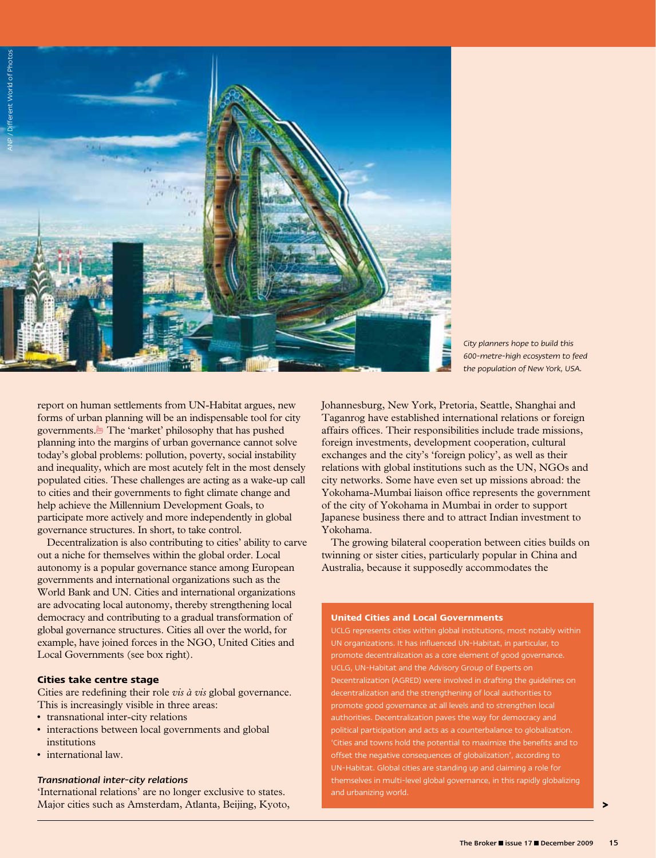

*City planners hope to build this 600-metre-high ecosystem to feed the population of New York, USA.* 

report on human settlements from UN-Habitat argues, new forms of urban planning will be an indispensable tool for city governments.<sup>1</sup> The 'market' philosophy that has pushed planning into the margins of urban governance cannot solve today's global problems: pollution, poverty, social instability and inequality, which are most acutely felt in the most densely populated cities. These challenges are acting as a wake-up call to cities and their governments to fight climate change and help achieve the Millennium Development Goals, to participate more actively and more independently in global governance structures. In short, to take control.

Decentralization is also contributing to cities' ability to carve out a niche for themselves within the global order. Local autonomy is a popular governance stance among European governments and international organizations such as the World Bank and UN. Cities and international organizations are advocating local autonomy, thereby strengthening local democracy and contributing to a gradual transformation of global governance structures. Cities all over the world, for example, have joined forces in the NGO, United Cities and Local Governments (see box right).

#### **Cities take centre stage**

Cities are redefining their role *vis à vis* global governance. This is increasingly visible in three areas:

- transnational inter-city relations
- interactions between local governments and global institutions
- international law.

#### *Transnational inter-city relations*

'International relations' are no longer exclusive to states. Major cities such as Amsterdam, Atlanta, Beijing, Kyoto, Johannesburg, New York, Pretoria, Seattle, Shanghai and Taganrog have established international relations or foreign affairs offices. Their responsibilities include trade missions, foreign investments, development cooperation, cultural exchanges and the city's 'foreign policy', as well as their relations with global institutions such as the UN, NGOs and city networks. Some have even set up missions abroad: the Yokohama-Mumbai liaison office represents the government of the city of Yokohama in Mumbai in order to support Japanese business there and to attract Indian investment to Yokohama.

The growing bilateral cooperation between cities builds on twinning or sister cities, particularly popular in China and Australia, because it supposedly accommodates the

#### **United Cities and Local Governments**

UCLG represents cities within global institutions, most notably within UN organizations. It has influenced UN-Habitat, in particular, to promote decentralization as a core element of good governance. UCLG, UN-Habitat and the Advisory Group of Experts on Decentralization (AGRED) were involved in drafting the guidelines on decentralization and the strengthening of local authorities to promote good governance at all levels and to strengthen local authorities. Decentralization paves the way for democracy and political participation and acts as a counterbalance to globalization. 'Cities and towns hold the potential to maximize the benefits and to offset the negative consequences of globalization', according to UN-Habitat. Global cities are standing up and claiming a role for themselves in multi-level global governance, in this rapidly globalizing and urbanizing world.

**>**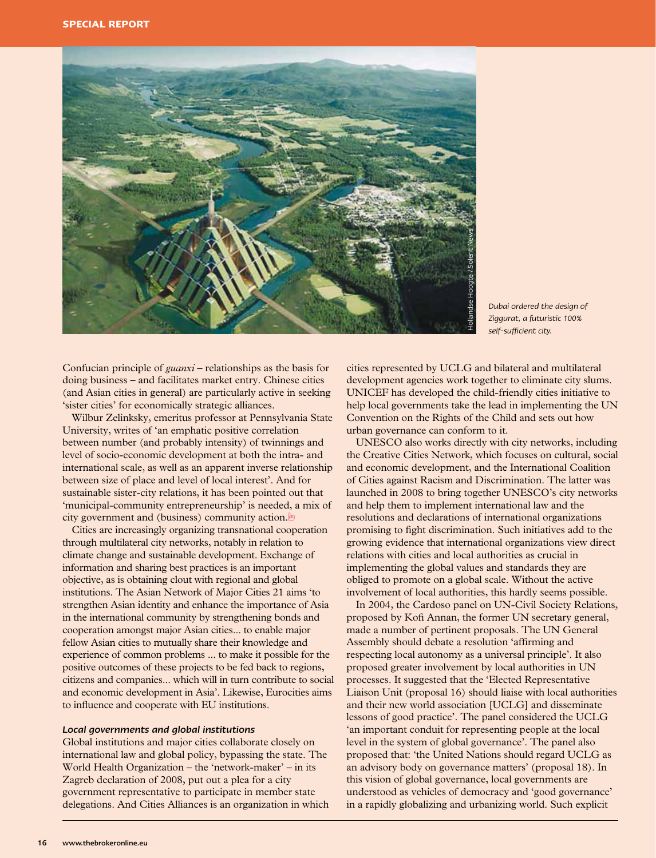

*Dubai ordered the design of Ziggurat, a futuristic 100% self-sufficient city.*

Confucian principle of *guanxi* – relationships as the basis for doing business – and facilitates market entry. Chinese cities (and Asian cities in general) are particularly active in seeking 'sister cities' for economically strategic alliances.

Wilbur Zelinksky, emeritus professor at Pennsylvania State University, writes of 'an emphatic positive correlation between number (and probably intensity) of twinnings and level of socio-economic development at both the intra- and international scale, as well as an apparent inverse relationship between size of place and level of local interest'. And for sustainable sister-city relations, it has been pointed out that 'municipal-community entrepreneurship' is needed, a mix of city government and (business) community action.<sup>19</sup>

Cities are increasingly organizing transnational cooperation through multilateral city networks, notably in relation to climate change and sustainable development. Exchange of information and sharing best practices is an important objective, as is obtaining clout with regional and global institutions. The Asian Network of Major Cities 21 aims 'to strengthen Asian identity and enhance the importance of Asia in the international community by strengthening bonds and cooperation amongst major Asian cities... to enable major fellow Asian cities to mutually share their knowledge and experience of common problems ... to make it possible for the positive outcomes of these projects to be fed back to regions, citizens and companies... which will in turn contribute to social and economic development in Asia'. Likewise, Eurocities aims to influence and cooperate with EU institutions.

#### *Local governments and global institutions*

Global institutions and major cities collaborate closely on international law and global policy, bypassing the state. The World Health Organization – the 'network-maker' – in its Zagreb declaration of 2008, put out a plea for a city government representative to participate in member state delegations. And Cities Alliances is an organization in which cities represented by UCLG and bilateral and multilateral development agencies work together to eliminate city slums. UNICEF has developed the child-friendly cities initiative to help local governments take the lead in implementing the UN Convention on the Rights of the Child and sets out how urban governance can conform to it.

UNESCO also works directly with city networks, including the Creative Cities Network, which focuses on cultural, social and economic development, and the International Coalition of Cities against Racism and Discrimination. The latter was launched in 2008 to bring together UNESCO's city networks and help them to implement international law and the resolutions and declarations of international organizations promising to fight discrimination. Such initiatives add to the growing evidence that international organizations view direct relations with cities and local authorities as crucial in implementing the global values and standards they are obliged to promote on a global scale. Without the active involvement of local authorities, this hardly seems possible.

In 2004, the Cardoso panel on UN-Civil Society Relations, proposed by Kofi Annan, the former UN secretary general, made a number of pertinent proposals. The UN General Assembly should debate a resolution 'affirming and respecting local autonomy as a universal principle'. It also proposed greater involvement by local authorities in UN processes. It suggested that the 'Elected Representative Liaison Unit (proposal 16) should liaise with local authorities and their new world association [UCLG] and disseminate lessons of good practice'. The panel considered the UCLG 'an important conduit for representing people at the local level in the system of global governance'. The panel also proposed that: 'the United Nations should regard UCLG as an advisory body on governance matters' (proposal 18). In this vision of global governance, local governments are understood as vehicles of democracy and 'good governance' in a rapidly globalizing and urbanizing world. Such explicit